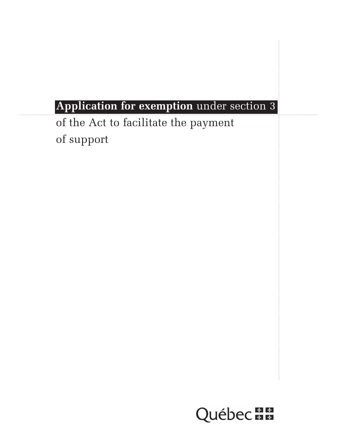# **Application for exemption** under section 3

of the Act to facilitate the payment of support

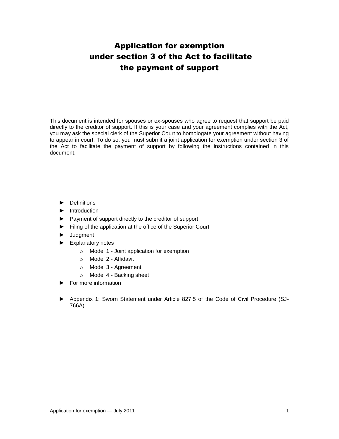# Application for exemption under section 3 of the Act to facilitate the payment of support

This document is intended for spouses or ex-spouses who agree to request that support be paid directly to the creditor of support. If this is your case and your agreement complies with the Act, you may ask the special clerk of the Superior Court to homologate your agreement without having to appear in court. To do so, you must submit a joint application for exemption under section 3 of the Act to facilitate the payment of support by following the instructions contained in this document.

- ► Definitions
- ► Introduction
- ► Payment of support directly to the creditor of support
- ► Filing of the application at the office of the Superior Court
- ► Judgment
- ► Explanatory notes
	- o Model 1 Joint application for exemption
	- o Model 2 Affidavit
	- o Model 3 Agreement
	- o Model 4 Backing sheet
- ► For more information
- ► Appendix 1: Sworn Statement under Article 827.5 of the Code of Civil Procedure (SJ-766A)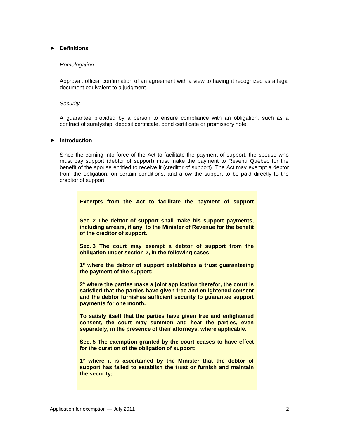#### **► Definitions**

#### *Homologation*

Approval, official confirmation of an agreement with a view to having it recognized as a legal document equivalent to a judgment.

#### *Security*

A guarantee provided by a person to ensure compliance with an obligation, such as a contract of suretyship, deposit certificate, bond certificate or promissory note.

#### **► Introduction**

Since the coming into force of the Act to facilitate the payment of support, the spouse who must pay support (debtor of support) must make the payment to Revenu Québec for the benefit of the spouse entitled to receive it (creditor of support). The Act may exempt a debtor from the obligation, on certain conditions, and allow the support to be paid directly to the creditor of support.

| Excerpts from the Act to facilitate the payment of support                                                                                                                                                                                 |
|--------------------------------------------------------------------------------------------------------------------------------------------------------------------------------------------------------------------------------------------|
| Sec. 2 The debtor of support shall make his support payments,<br>including arrears, if any, to the Minister of Revenue for the benefit<br>of the creditor of support.                                                                      |
| Sec. 3 The court may exempt a debtor of support from the<br>obligation under section 2, in the following cases:                                                                                                                            |
| 1° where the debtor of support establishes a trust guaranteeing<br>the payment of the support;                                                                                                                                             |
| 2° where the parties make a joint application therefor, the court is<br>satisfied that the parties have given free and enlightened consent<br>and the debtor furnishes sufficient security to guarantee support<br>payments for one month. |
| To satisfy itself that the parties have given free and enlightened<br>consent, the court may summon and hear the parties, even<br>separately, in the presence of their attorneys, where applicable.                                        |
| Sec. 5 The exemption granted by the court ceases to have effect<br>for the duration of the obligation of support:                                                                                                                          |
| 1° where it is ascertained by the Minister that the debtor of<br>support has failed to establish the trust or furnish and maintain<br>the security;                                                                                        |
|                                                                                                                                                                                                                                            |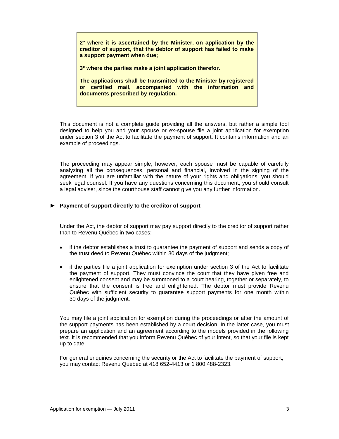**2° where it is ascertained by the Minister, on application by the creditor of support, that the debtor of support has failed to make a support payment when due;**

**3° where the parties make a joint application therefor.**

**The applications shall be transmitted to the Minister by registered or certified mail, accompanied with the information and documents prescribed by regulation.**

This document is not a complete guide providing all the answers, but rather a simple tool designed to help you and your spouse or ex-spouse file a joint application for exemption under section 3 of the Act to facilitate the payment of support. It contains information and an example of proceedings.

The proceeding may appear simple, however, each spouse must be capable of carefully analyzing all the consequences, personal and financial, involved in the signing of the agreement. If you are unfamiliar with the nature of your rights and obligations, you should seek legal counsel. If you have any questions concerning this document, you should consult a legal adviser, since the courthouse staff cannot give you any further information.

#### **► Payment of support directly to the creditor of support**

Under the Act, the debtor of support may pay support directly to the creditor of support rather than to Revenu Québec in two cases:

- if the debtor establishes a trust to guarantee the payment of support and sends a copy of the trust deed to Revenu Québec within 30 days of the judgment;
- if the parties file a joint application for exemption under section 3 of the Act to facilitate the payment of support. They must convince the court that they have given free and enlightened consent and may be summoned to a court hearing, together or separately, to ensure that the consent is free and enlightened. The debtor must provide Revenu Québec with sufficient security to guarantee support payments for one month within 30 days of the judgment.

You may file a joint application for exemption during the proceedings or after the amount of the support payments has been established by a court decision. In the latter case, you must prepare an application and an agreement according to the models provided in the following text. It is recommended that you inform Revenu Québec of your intent, so that your file is kept up to date.

For general enquiries concerning the security or the Act to facilitate the payment of support, you may contact Revenu Québec at 418 652-4413 or 1 800 488-2323.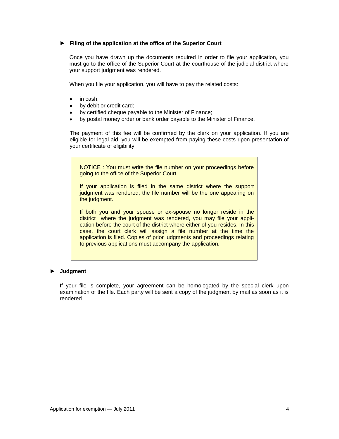#### **► Filing of the application at the office of the Superior Court**

Once you have drawn up the documents required in order to file your application, you must go to the office of the Superior Court at the courthouse of the judicial district where your support judgment was rendered.

When you file your application, you will have to pay the related costs:

- in cash;  $\bullet$
- by debit or credit card;
- by certified cheque payable to the Minister of Finance;
- by postal money order or bank order payable to the Minister of Finance.  $\bullet$

The payment of this fee will be confirmed by the clerk on your application. If you are eligible for legal aid, you will be exempted from paying these costs upon presentation of your certificate of eligibility.

NOTICE : You must write the file number on your proceedings before going to the office of the Superior Court.

If your application is filed in the same district where the support judgment was rendered, the file number will be the one appearing on the judgment.

If both you and your spouse or ex-spouse no longer reside in the district where the judgment was rendered, you may file your application before the court of the district where either of you resides. In this case, the court clerk will assign a file number at the time the application is filed. Copies of prior judgments and proceedings relating to previous applications must accompany the application.

#### **► Judgment**

If your file is complete, your agreement can be homologated by the special clerk upon examination of the file. Each party will be sent a copy of the judgment by mail as soon as it is rendered.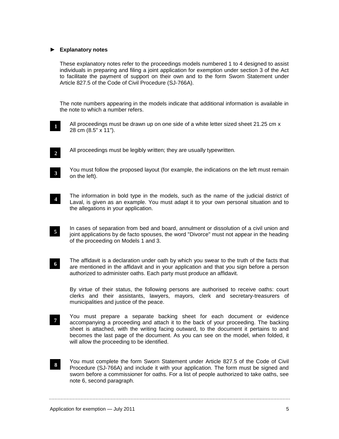#### **► Explanatory notes**

These explanatory notes refer to the proceedings models numbered 1 to 4 designed to assist individuals in preparing and filing a joint application for exemption under section 3 of the Act to facilitate the payment of support on their own and to the form Sworn Statement under Article 827.5 of the Code of Civil Procedure (SJ-766A).

The note numbers appearing in the models indicate that additional information is available in the note to which a number refers.

All proceedings must be drawn up on one side of a white letter sized sheet 21.25 cm x 28 cm (8.5" x 11").

**2**

All proceedings must be legibly written; they are usually typewritten.

**4**

You must follow the proposed layout (for example, the indications on the left must remain on the left).

- The information in bold type in the models, such as the name of the judicial district of Laval, is given as an example. You must adapt it to your own personal situation and to the allegations in your application.
- In cases of separation from bed and board, annulment or dissolution of a civil union and joint applications by de facto spouses, the word "Divorce" must not appear in the heading of the proceeding on Models 1 and 3. **5**
- **6**

The affidavit is a declaration under oath by which you swear to the truth of the facts that are mentioned in the affidavit and in your application and that you sign before a person authorized to administer oaths. Each party must produce an affidavit.

By virtue of their status, the following persons are authorised to receive oaths: court clerks and their assistants, lawyers, mayors, clerk and secretary-treasurers of municipalities and justice of the peace.

- You must prepare a separate backing sheet for each document or evidence accompanying a proceeding and attach it to the back of your proceeding. The backing sheet is attached, with the writing facing outward, to the document it pertains to and becomes the last page of the document. As you can see on the model, when folded, it will allow the proceeding to be identified. **7**
- You must complete the form Sworn Statement under Article 827.5 of the Code of Civil Procedure (SJ-766A) and include it with your application. The form must be signed and sworn before a commissioner for oaths. For a list of people authorized to take oaths, see note 6, second paragraph. **8**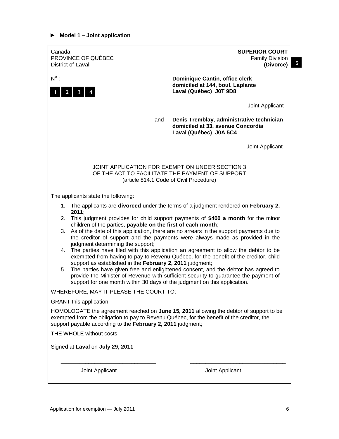## **► Model 1 – Joint application**

| Canada<br>PROVINCE OF QUÉBEC<br>District of Laval                                                                                                                                                                                                                                                                                                                                                                                                                                                                                                                                                                                                                                                                                                                                                                                                                                             | <b>SUPERIOR COURT</b><br>Family Division<br>$\overline{\mathbf{5}}$<br>(Divorce)                         |  |  |  |
|-----------------------------------------------------------------------------------------------------------------------------------------------------------------------------------------------------------------------------------------------------------------------------------------------------------------------------------------------------------------------------------------------------------------------------------------------------------------------------------------------------------------------------------------------------------------------------------------------------------------------------------------------------------------------------------------------------------------------------------------------------------------------------------------------------------------------------------------------------------------------------------------------|----------------------------------------------------------------------------------------------------------|--|--|--|
| $N^{\circ}$ :<br>$\overline{2}$                                                                                                                                                                                                                                                                                                                                                                                                                                                                                                                                                                                                                                                                                                                                                                                                                                                               | <b>Dominique Cantin, office clerk</b><br>domiciled at 144, boul. Laplante<br>Laval (Québec) J0T 9D8      |  |  |  |
|                                                                                                                                                                                                                                                                                                                                                                                                                                                                                                                                                                                                                                                                                                                                                                                                                                                                                               | Joint Applicant                                                                                          |  |  |  |
| and                                                                                                                                                                                                                                                                                                                                                                                                                                                                                                                                                                                                                                                                                                                                                                                                                                                                                           | Denis Tremblay, administrative technician<br>domiciled at 33, avenue Concordia<br>Laval (Québec) J0A 5C4 |  |  |  |
|                                                                                                                                                                                                                                                                                                                                                                                                                                                                                                                                                                                                                                                                                                                                                                                                                                                                                               | Joint Applicant                                                                                          |  |  |  |
| JOINT APPLICATION FOR EXEMPTION UNDER SECTION 3<br>OF THE ACT TO FACILITATE THE PAYMENT OF SUPPORT<br>(article 814.1 Code of Civil Procedure)                                                                                                                                                                                                                                                                                                                                                                                                                                                                                                                                                                                                                                                                                                                                                 |                                                                                                          |  |  |  |
| The applicants state the following:                                                                                                                                                                                                                                                                                                                                                                                                                                                                                                                                                                                                                                                                                                                                                                                                                                                           |                                                                                                          |  |  |  |
|                                                                                                                                                                                                                                                                                                                                                                                                                                                                                                                                                                                                                                                                                                                                                                                                                                                                                               | 1. The applicants are divorced under the terms of a judgment rendered on February 2,                     |  |  |  |
| 2011:<br>2. This judgment provides for child support payments of \$400 a month for the minor<br>children of the parties, payable on the first of each month;<br>3. As of the date of this application, there are no arrears in the support payments due to<br>the creditor of support and the payments were always made as provided in the<br>judgment determining the support;<br>4. The parties have filed with this application an agreement to allow the debtor to be<br>exempted from having to pay to Revenu Québec, for the benefit of the creditor, child<br>support as established in the February 2, 2011 judgment;<br>The parties have given free and enlightened consent, and the debtor has agreed to<br>5.<br>provide the Minister of Revenue with sufficient security to guarantee the payment of<br>support for one month within 30 days of the judgment on this application. |                                                                                                          |  |  |  |
| WHEREFORE, MAY IT PLEASE THE COURT TO:                                                                                                                                                                                                                                                                                                                                                                                                                                                                                                                                                                                                                                                                                                                                                                                                                                                        |                                                                                                          |  |  |  |
| GRANT this application;<br>HOMOLOGATE the agreement reached on June 15, 2011 allowing the debtor of support to be<br>exempted from the obligation to pay to Revenu Québec, for the benefit of the creditor, the<br>support payable according to the February 2, 2011 judgment;                                                                                                                                                                                                                                                                                                                                                                                                                                                                                                                                                                                                                |                                                                                                          |  |  |  |
| THE WHOLE without costs.                                                                                                                                                                                                                                                                                                                                                                                                                                                                                                                                                                                                                                                                                                                                                                                                                                                                      |                                                                                                          |  |  |  |
| Signed at Laval on July 29, 2011                                                                                                                                                                                                                                                                                                                                                                                                                                                                                                                                                                                                                                                                                                                                                                                                                                                              |                                                                                                          |  |  |  |
| Joint Applicant                                                                                                                                                                                                                                                                                                                                                                                                                                                                                                                                                                                                                                                                                                                                                                                                                                                                               | Joint Applicant                                                                                          |  |  |  |
|                                                                                                                                                                                                                                                                                                                                                                                                                                                                                                                                                                                                                                                                                                                                                                                                                                                                                               |                                                                                                          |  |  |  |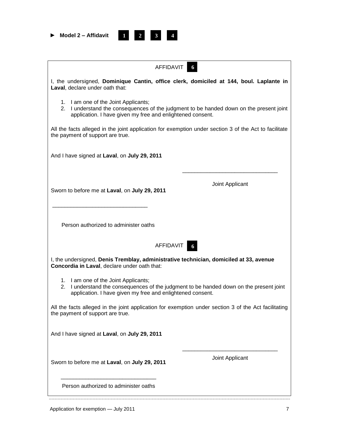|  | $\blacktriangleright$ Model 2 – Affidavit |
|--|-------------------------------------------|
|  |                                           |

**1 2 1** **3 4 1**

| AFFIDAVIT<br>-6                                                                                                                                                                               |                 |  |  |  |  |
|-----------------------------------------------------------------------------------------------------------------------------------------------------------------------------------------------|-----------------|--|--|--|--|
| I, the undersigned, Dominique Cantin, office clerk, domiciled at 144, boul. Laplante in<br>Laval, declare under oath that:                                                                    |                 |  |  |  |  |
| 1. I am one of the Joint Applicants;<br>2. I understand the consequences of the judgment to be handed down on the present joint<br>application. I have given my free and enlightened consent. |                 |  |  |  |  |
| All the facts alleged in the joint application for exemption under section 3 of the Act to facilitate<br>the payment of support are true.                                                     |                 |  |  |  |  |
| And I have signed at Laval, on July 29, 2011                                                                                                                                                  |                 |  |  |  |  |
| Sworn to before me at Laval, on July 29, 2011                                                                                                                                                 | Joint Applicant |  |  |  |  |
| Person authorized to administer oaths                                                                                                                                                         |                 |  |  |  |  |
| <b>AFFIDAVIT</b>                                                                                                                                                                              |                 |  |  |  |  |
| I, the undersigned, Denis Tremblay, administrative technician, domiciled at 33, avenue<br>Concordia in Laval, declare under oath that:                                                        |                 |  |  |  |  |
| 1. I am one of the Joint Applicants;<br>2. I understand the consequences of the judgment to be handed down on the present joint<br>application. I have given my free and enlightened consent. |                 |  |  |  |  |
| All the facts alleged in the joint application for exemption under section 3 of the Act facilitating<br>the payment of support are true.                                                      |                 |  |  |  |  |
| And I have signed at Laval, on July 29, 2011                                                                                                                                                  |                 |  |  |  |  |
| Sworn to before me at Laval, on July 29, 2011                                                                                                                                                 | Joint Applicant |  |  |  |  |
| Person authorized to administer oaths                                                                                                                                                         |                 |  |  |  |  |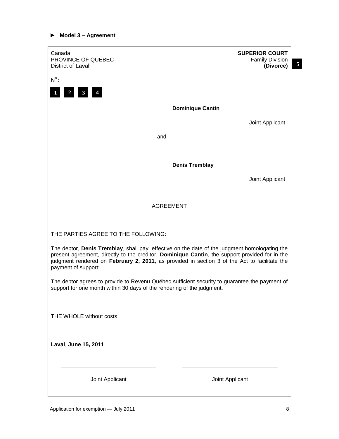### **► Model 3 – Agreement**

| Canada<br>PROVINCE OF QUÉBEC<br>District of Laval                                                                                                                                                                                                                                                                      | <b>SUPERIOR COURT</b><br><b>Family Division</b><br>$\overline{\mathbf{5}}$<br>(Divorce) |  |  |  |
|------------------------------------------------------------------------------------------------------------------------------------------------------------------------------------------------------------------------------------------------------------------------------------------------------------------------|-----------------------------------------------------------------------------------------|--|--|--|
| $N^{\circ}$ :<br>$\overline{2}$<br>$\mathbf{3}$                                                                                                                                                                                                                                                                        |                                                                                         |  |  |  |
|                                                                                                                                                                                                                                                                                                                        | <b>Dominique Cantin</b>                                                                 |  |  |  |
|                                                                                                                                                                                                                                                                                                                        | Joint Applicant                                                                         |  |  |  |
| and                                                                                                                                                                                                                                                                                                                    |                                                                                         |  |  |  |
|                                                                                                                                                                                                                                                                                                                        |                                                                                         |  |  |  |
|                                                                                                                                                                                                                                                                                                                        | <b>Denis Tremblay</b>                                                                   |  |  |  |
|                                                                                                                                                                                                                                                                                                                        | Joint Applicant                                                                         |  |  |  |
| <b>AGREEMENT</b>                                                                                                                                                                                                                                                                                                       |                                                                                         |  |  |  |
| THE PARTIES AGREE TO THE FOLLOWING:                                                                                                                                                                                                                                                                                    |                                                                                         |  |  |  |
| The debtor, Denis Tremblay, shall pay, effective on the date of the judgment homologating the<br>present agreement, directly to the creditor, Dominique Cantin, the support provided for in the<br>judgment rendered on February 2, 2011, as provided in section 3 of the Act to facilitate the<br>payment of support; |                                                                                         |  |  |  |
| The debtor agrees to provide to Revenu Québec sufficient security to guarantee the payment of<br>support for one month within 30 days of the rendering of the judgment.                                                                                                                                                |                                                                                         |  |  |  |
| THE WHOLE without costs.                                                                                                                                                                                                                                                                                               |                                                                                         |  |  |  |
| Laval, June 15, 2011                                                                                                                                                                                                                                                                                                   |                                                                                         |  |  |  |
| Joint Applicant                                                                                                                                                                                                                                                                                                        | Joint Applicant                                                                         |  |  |  |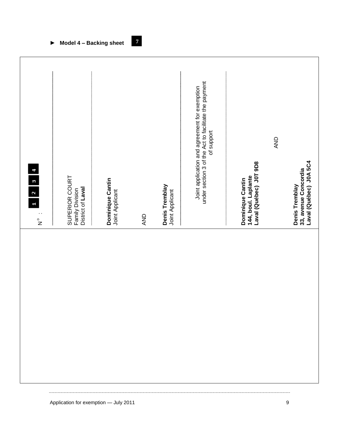| $1 \mid 2 \mid 3 \mid 4$<br>$\cdot$<br>$\frac{1}{2}$ | SUPERIOR COURT<br>District of Laval<br>Family Division | Dominique Cantin<br>Joint Applicant | AND | Denis Tremblay<br>Joint Applicant | under section 3 of the Act to facilitate the payment<br>Joint application and agreement for exemption<br>of support | AND<br>Laval (Québec) J0T 9D8<br>144, boul. Laplante<br>Dominique Cantin | Laval (Québec) J0A 5C4<br>33, avenue Concordia<br>Denis Tremblay |
|------------------------------------------------------|--------------------------------------------------------|-------------------------------------|-----|-----------------------------------|---------------------------------------------------------------------------------------------------------------------|--------------------------------------------------------------------------|------------------------------------------------------------------|
|                                                      |                                                        |                                     |     |                                   |                                                                                                                     |                                                                          |                                                                  |

**► Model 4 – Backing sheet**

**7 8**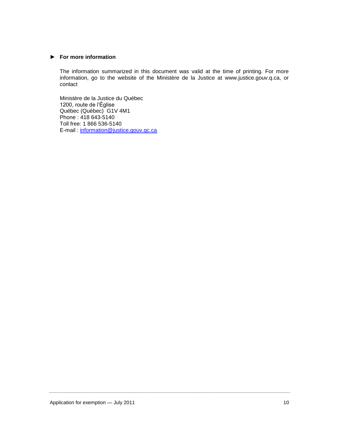#### **► For more information**

The information summarized in this document was valid at the time of printing. For more information, go to the website of the Ministère de la Justice at www.justice.gouv.q.ca, or contact

Ministère de la Justice du Québec 1200, route de l'Église Québec (Québec) G1V 4M1 Phone : 418 643-5140 Toll free: 1 866 536-5140 E-mail : [information@justice.gouv.qc.ca](mailto:information@justice.gouv.qc.ca)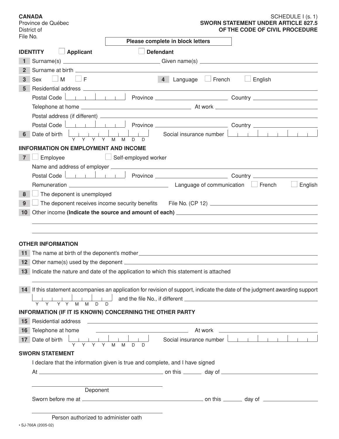| <b>CANADA</b><br>Province de Québec<br>District of   |                                                                                                                                                                                                                                                                   |                                             | SCHEDULE I (s. 1)<br><b>SWORN STATEMENT UNDER ARTICLE 827.5</b><br>OF THE CODE OF CIVIL PROCEDURE                                                                                                                                                                                                                                                                                   |
|------------------------------------------------------|-------------------------------------------------------------------------------------------------------------------------------------------------------------------------------------------------------------------------------------------------------------------|---------------------------------------------|-------------------------------------------------------------------------------------------------------------------------------------------------------------------------------------------------------------------------------------------------------------------------------------------------------------------------------------------------------------------------------------|
| File No.                                             |                                                                                                                                                                                                                                                                   | Please complete in block letters            |                                                                                                                                                                                                                                                                                                                                                                                     |
| <b>IDENTITY</b>                                      | <b>Applicant</b>                                                                                                                                                                                                                                                  | <b>Defendant</b>                            |                                                                                                                                                                                                                                                                                                                                                                                     |
|                                                      |                                                                                                                                                                                                                                                                   |                                             |                                                                                                                                                                                                                                                                                                                                                                                     |
| $\mathbf{2}$                                         |                                                                                                                                                                                                                                                                   |                                             |                                                                                                                                                                                                                                                                                                                                                                                     |
| $\vert$ M $\vert$ $\vert$ F<br>3 <sup>1</sup><br>Sex |                                                                                                                                                                                                                                                                   | $\overline{4}$<br>Language<br>$\Box$ French | English                                                                                                                                                                                                                                                                                                                                                                             |
| 5.                                                   |                                                                                                                                                                                                                                                                   |                                             |                                                                                                                                                                                                                                                                                                                                                                                     |
|                                                      |                                                                                                                                                                                                                                                                   |                                             |                                                                                                                                                                                                                                                                                                                                                                                     |
|                                                      |                                                                                                                                                                                                                                                                   |                                             |                                                                                                                                                                                                                                                                                                                                                                                     |
|                                                      |                                                                                                                                                                                                                                                                   |                                             | Postal address (if different) <u>experiences</u> and the control of the control of the control of the control of the control of the control of the control of the control of the control of the control of the control of the contr                                                                                                                                                 |
|                                                      |                                                                                                                                                                                                                                                                   |                                             |                                                                                                                                                                                                                                                                                                                                                                                     |
|                                                      | 6 Date of birth $\begin{array}{ c c c c c c c c c }\n\hline\n\text{P} & \text{D} & \text{P} & \text{P} & \text{P} & \text{P} & \text{P} & \text{P} \\ \hline\n\text{P} & \text{P} & \text{P} & \text{P} & \text{P} & \text{P} & \text{P} & \text{P}\n\end{array}$ |                                             | Social insurance number $\boxed{\phantom{a}}$                                                                                                                                                                                                                                                                                                                                       |
|                                                      | <b>IINFORMATION ON EMPLOYMENT AND INCOME</b>                                                                                                                                                                                                                      |                                             |                                                                                                                                                                                                                                                                                                                                                                                     |
| Employee<br>7 <sup>1</sup>                           | $\Box$ Self-employed worker                                                                                                                                                                                                                                       |                                             |                                                                                                                                                                                                                                                                                                                                                                                     |
|                                                      |                                                                                                                                                                                                                                                                   |                                             |                                                                                                                                                                                                                                                                                                                                                                                     |
|                                                      |                                                                                                                                                                                                                                                                   |                                             |                                                                                                                                                                                                                                                                                                                                                                                     |
|                                                      |                                                                                                                                                                                                                                                                   |                                             | $\Box$ English                                                                                                                                                                                                                                                                                                                                                                      |
| $\Box$ The deponent is unemployed<br>8               |                                                                                                                                                                                                                                                                   |                                             |                                                                                                                                                                                                                                                                                                                                                                                     |
| 9                                                    |                                                                                                                                                                                                                                                                   |                                             |                                                                                                                                                                                                                                                                                                                                                                                     |
|                                                      |                                                                                                                                                                                                                                                                   |                                             |                                                                                                                                                                                                                                                                                                                                                                                     |
|                                                      |                                                                                                                                                                                                                                                                   |                                             |                                                                                                                                                                                                                                                                                                                                                                                     |
|                                                      |                                                                                                                                                                                                                                                                   |                                             |                                                                                                                                                                                                                                                                                                                                                                                     |
| <b>OTHER INFORMATION</b>                             |                                                                                                                                                                                                                                                                   |                                             |                                                                                                                                                                                                                                                                                                                                                                                     |
|                                                      | 11 The name at birth of the deponent's mother __________________________________                                                                                                                                                                                  |                                             |                                                                                                                                                                                                                                                                                                                                                                                     |
|                                                      |                                                                                                                                                                                                                                                                   |                                             |                                                                                                                                                                                                                                                                                                                                                                                     |
|                                                      | 13 Indicate the nature and date of the application to which this statement is attached                                                                                                                                                                            |                                             |                                                                                                                                                                                                                                                                                                                                                                                     |
|                                                      |                                                                                                                                                                                                                                                                   |                                             |                                                                                                                                                                                                                                                                                                                                                                                     |
|                                                      |                                                                                                                                                                                                                                                                   |                                             | 14 If this statement accompanies an application for revision of support, indicate the date of the judgment awarding support                                                                                                                                                                                                                                                         |
|                                                      |                                                                                                                                                                                                                                                                   |                                             |                                                                                                                                                                                                                                                                                                                                                                                     |
|                                                      |                                                                                                                                                                                                                                                                   |                                             |                                                                                                                                                                                                                                                                                                                                                                                     |
|                                                      | <b>INFORMATION (IF IT IS KNOWN) CONCERNING THE OTHER PARTY</b>                                                                                                                                                                                                    |                                             |                                                                                                                                                                                                                                                                                                                                                                                     |
|                                                      |                                                                                                                                                                                                                                                                   |                                             |                                                                                                                                                                                                                                                                                                                                                                                     |
|                                                      |                                                                                                                                                                                                                                                                   |                                             |                                                                                                                                                                                                                                                                                                                                                                                     |
|                                                      |                                                                                                                                                                                                                                                                   |                                             | <b>17</b> Date of birth $\begin{array}{ c c c c c c }\n\hline\n\end{array}$ $\begin{array}{ c c c c c }\n\hline\n\end{array}$ $\begin{array}{ c c c c }\n\hline\n\end{array}$ $\begin{array}{ c c c c }\n\hline\n\end{array}$ $\begin{array}{ c c c c }\n\hline\n\end{array}$ $\begin{array}{ c c c }\n\hline\n\end{array}$ $\begin{array}{ c c c }\n\hline\n\end{array}$ $\begin{$ |
| <b>SWORN STATEMENT</b>                               |                                                                                                                                                                                                                                                                   |                                             |                                                                                                                                                                                                                                                                                                                                                                                     |
|                                                      | I declare that the information given is true and complete, and I have signed                                                                                                                                                                                      |                                             |                                                                                                                                                                                                                                                                                                                                                                                     |
|                                                      |                                                                                                                                                                                                                                                                   |                                             |                                                                                                                                                                                                                                                                                                                                                                                     |
|                                                      |                                                                                                                                                                                                                                                                   |                                             |                                                                                                                                                                                                                                                                                                                                                                                     |
|                                                      | Deponent                                                                                                                                                                                                                                                          |                                             |                                                                                                                                                                                                                                                                                                                                                                                     |
|                                                      |                                                                                                                                                                                                                                                                   |                                             |                                                                                                                                                                                                                                                                                                                                                                                     |
|                                                      |                                                                                                                                                                                                                                                                   |                                             |                                                                                                                                                                                                                                                                                                                                                                                     |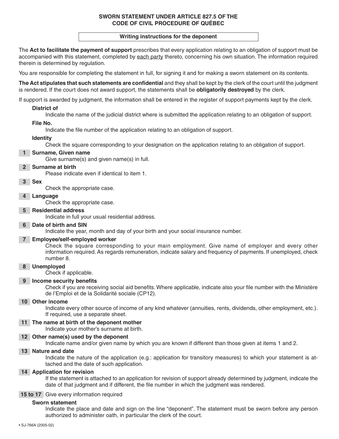#### **SWORN STATEMENT UNDER ARTICLE 827.5 OF THE CODE OF CIVIL PROCEDURE OF QUÉBEC**

#### **Writing instructions for the deponent**

The **Act to facilitate the payment of support** prescribes that every application relating to an obligation of support must be accompanied with this statement, completed by each party thereto, concerning his own situation. The information required therein is determined by regulation.

You are responsible for completing the statement in full, for signing it and for making a sworn statement on its contents.

**The Act stipulates that such statements are confidential** and they shall be kept by the clerk of the court until the judgment is rendered. If the court does not award support, the statements shall be **obligatorily destroyed** by the clerk.

If support is awarded by judgment, the information shall be entered in the register of support payments kept by the clerk.

#### **District of**

Indicate the name of the judicial district where is submitted the application relating to an obligation of support.

#### **File No.**

Indicate the file number of the application relating to an obligation of support.

#### **Identity**

Check the square corresponding to your designation on the application relating to an obligation of support.

#### **1 Surname, Given name**

Give surname(s) and given name(s) in full.

#### **2 Surname at birth**

Please indicate even if identical to item 1.

#### **3 Sex**

Check the appropriate case.

**4 Language**

Check the appropriate case.

#### **5 Residential address**

Indicate in full your usual residential address.

#### **6 Date of birth and SIN**

Indicate the year, month and day of your birth and your social insurance number.

#### **7 Employee/self-employed worker**

Check the square corresponding to your main employment. Give name of employer and every other information required. As regards remuneration, indicate salary and frequency of payments. If unemployed, check number 8.

#### **8 Unemployed**

Check if applicable.

#### **9 Income security benefits**

Check if you are receiving social aid benefits. Where applicable, indicate also your file number with the Ministère de l'Emploi et de la Solidarité sociale (CP12).

#### **10 Other income**

Indicate every other source of income of any kind whatever (annuities, rents, dividends, other employment, etc.). If required, use a separate sheet.

#### **11 The name at birth of the deponent mother**

Indicate your mother's surname at birth.

#### **12 Other name(s) used by the deponent**

Indicate name and/or given name by which you are known if different than those given at items 1 and 2.

#### **13 Nature and date**

Indicate the nature of the application (e.g.: application for transitory measures) to which your statement is attached and the date of such application.

#### **14 Application for revision**

If the statement is attached to an application for revision of support already determined by judgment, indicate the date of that judgment and if different, the file number in which the judgment was rendered.

#### **15 to 17** Give every information required

#### **Sworn statement**

Indicate the place and date and sign on the line "deponent". The statement must be sworn before any person authorized to administer oath, in particular the clerk of the court.